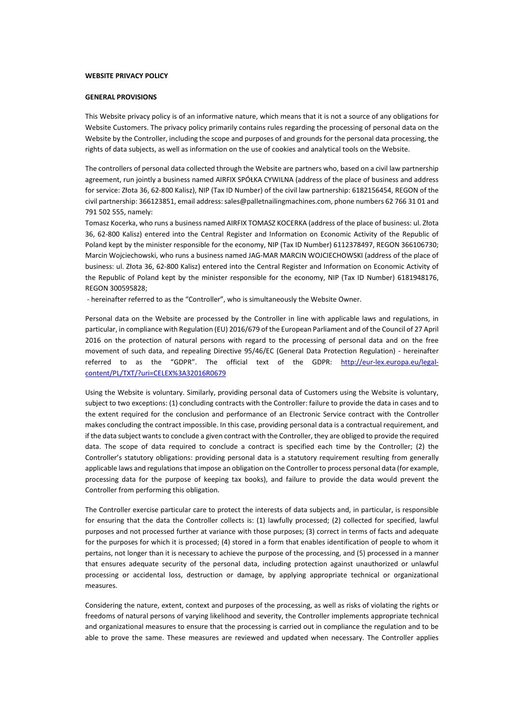#### **WEBSITE PRIVACY POLICY**

#### **GENERAL PROVISIONS**

This Website privacy policy is of an informative nature, which means that it is not a source of any obligations for Website Customers. The privacy policy primarily contains rules regarding the processing of personal data on the Website by the Controller, including the scope and purposes of and grounds for the personal data processing, the rights of data subjects, as well as information on the use of cookies and analytical tools on the Website.

The controllers of personal data collected through the Website are partners who, based on a civil law partnership agreement, run jointly a business named AIRFIX SPÓŁKA CYWILNA (address of the place of business and address for service: Złota 36, 62-800 Kalisz), NIP (Tax ID Number) of the civil law partnership: 6182156454, REGON of the civil partnership: 366123851, email address: sales@palletnailingmachines.com, phone numbers 62 766 31 01 and 791 502 555, namely:

Tomasz Kocerka, who runs a business named AIRFIX TOMASZ KOCERKA (address of the place of business: ul. Złota 36, 62-800 Kalisz) entered into the Central Register and Information on Economic Activity of the Republic of Poland kept by the minister responsible for the economy, NIP (Tax ID Number) 6112378497, REGON 366106730; Marcin Wojciechowski, who runs a business named JAG-MAR MARCIN WOJCIECHOWSKI (address of the place of business: ul. Złota 36, 62-800 Kalisz) entered into the Central Register and Information on Economic Activity of the Republic of Poland kept by the minister responsible for the economy, NIP (Tax ID Number) 6181948176, REGON 300595828;

- hereinafter referred to as the "Controller", who is simultaneously the Website Owner.

Personal data on the Website are processed by the Controller in line with applicable laws and regulations, in particular, in compliance with Regulation (EU) 2016/679 of the European Parliament and of the Council of 27 April 2016 on the protection of natural persons with regard to the processing of personal data and on the free movement of such data, and repealing Directive 95/46/EC (General Data Protection Regulation) - hereinafter referred to as the "GDPR". The official text of the GDPR: http://eur-[lex.europa.eu/legal](about:blank)[content/PL/TXT/?uri=CELEX%3A32016R0679](about:blank)

Using the Website is voluntary. Similarly, providing personal data of Customers using the Website is voluntary, subject to two exceptions: (1) concluding contracts with the Controller: failure to provide the data in cases and to the extent required for the conclusion and performance of an Electronic Service contract with the Controller makes concluding the contract impossible. In this case, providing personal data is a contractual requirement, and if the data subject wants to conclude a given contract with the Controller, they are obliged to provide the required data. The scope of data required to conclude a contract is specified each time by the Controller; (2) the Controller's statutory obligations: providing personal data is a statutory requirement resulting from generally applicable laws and regulations that impose an obligation on the Controller to process personal data (for example, processing data for the purpose of keeping tax books), and failure to provide the data would prevent the Controller from performing this obligation.

The Controller exercise particular care to protect the interests of data subjects and, in particular, is responsible for ensuring that the data the Controller collects is: (1) lawfully processed; (2) collected for specified, lawful purposes and not processed further at variance with those purposes; (3) correct in terms of facts and adequate for the purposes for which it is processed; (4) stored in a form that enables identification of people to whom it pertains, not longer than it is necessary to achieve the purpose of the processing, and (5) processed in a manner that ensures adequate security of the personal data, including protection against unauthorized or unlawful processing or accidental loss, destruction or damage, by applying appropriate technical or organizational measures.

Considering the nature, extent, context and purposes of the processing, as well as risks of violating the rights or freedoms of natural persons of varying likelihood and severity, the Controller implements appropriate technical and organizational measures to ensure that the processing is carried out in compliance the regulation and to be able to prove the same. These measures are reviewed and updated when necessary. The Controller applies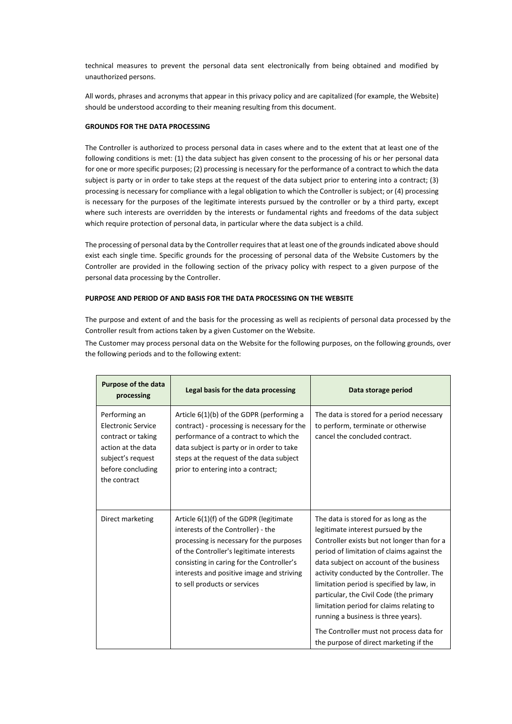technical measures to prevent the personal data sent electronically from being obtained and modified by unauthorized persons.

All words, phrases and acronyms that appear in this privacy policy and are capitalized (for example, the Website) should be understood according to their meaning resulting from this document.

### **GROUNDS FOR THE DATA PROCESSING**

The Controller is authorized to process personal data in cases where and to the extent that at least one of the following conditions is met: (1) the data subject has given consent to the processing of his or her personal data for one or more specific purposes; (2) processing is necessary for the performance of a contract to which the data subject is party or in order to take steps at the request of the data subject prior to entering into a contract; (3) processing is necessary for compliance with a legal obligation to which the Controller is subject; or (4) processing is necessary for the purposes of the legitimate interests pursued by the controller or by a third party, except where such interests are overridden by the interests or fundamental rights and freedoms of the data subject which require protection of personal data, in particular where the data subject is a child.

The processing of personal data by the Controller requires that at least one of the grounds indicated above should exist each single time. Specific grounds for the processing of personal data of the Website Customers by the Controller are provided in the following section of the privacy policy with respect to a given purpose of the personal data processing by the Controller.

### **PURPOSE AND PERIOD OF AND BASIS FOR THE DATA PROCESSING ON THE WEBSITE**

The purpose and extent of and the basis for the processing as well as recipients of personal data processed by the Controller result from actions taken by a given Customer on the Website.

The Customer may process personal data on the Website for the following purposes, on the following grounds, over the following periods and to the following extent:

| <b>Purpose of the data</b><br>processing                                                                                                         | Legal basis for the data processing                                                                                                                                                                                                                                                             | Data storage period                                                                                                                                                                                                                                                                                                                                                                                                                                                                                                               |
|--------------------------------------------------------------------------------------------------------------------------------------------------|-------------------------------------------------------------------------------------------------------------------------------------------------------------------------------------------------------------------------------------------------------------------------------------------------|-----------------------------------------------------------------------------------------------------------------------------------------------------------------------------------------------------------------------------------------------------------------------------------------------------------------------------------------------------------------------------------------------------------------------------------------------------------------------------------------------------------------------------------|
| Performing an<br><b>Electronic Service</b><br>contract or taking<br>action at the data<br>subject's request<br>before concluding<br>the contract | Article $6(1)(b)$ of the GDPR (performing a<br>contract) - processing is necessary for the<br>performance of a contract to which the<br>data subject is party or in order to take<br>steps at the request of the data subject<br>prior to entering into a contract;                             | The data is stored for a period necessary<br>to perform, terminate or otherwise<br>cancel the concluded contract.                                                                                                                                                                                                                                                                                                                                                                                                                 |
| Direct marketing                                                                                                                                 | Article 6(1)(f) of the GDPR (legitimate<br>interests of the Controller) - the<br>processing is necessary for the purposes<br>of the Controller's legitimate interests<br>consisting in caring for the Controller's<br>interests and positive image and striving<br>to sell products or services | The data is stored for as long as the<br>legitimate interest pursued by the<br>Controller exists but not longer than for a<br>period of limitation of claims against the<br>data subject on account of the business<br>activity conducted by the Controller. The<br>limitation period is specified by law, in<br>particular, the Civil Code (the primary<br>limitation period for claims relating to<br>running a business is three years).<br>The Controller must not process data for<br>the purpose of direct marketing if the |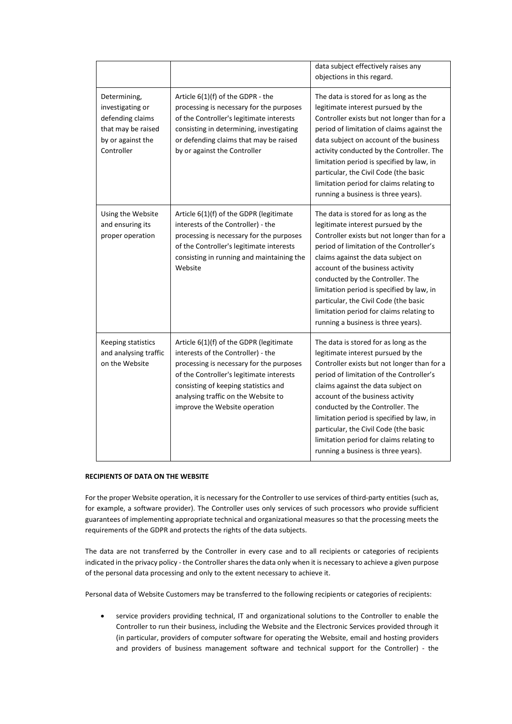|                                                                                                               |                                                                                                                                                                                                                                                                                       | data subject effectively raises any<br>objections in this regard.                                                                                                                                                                                                                                                                                                                                                                                             |
|---------------------------------------------------------------------------------------------------------------|---------------------------------------------------------------------------------------------------------------------------------------------------------------------------------------------------------------------------------------------------------------------------------------|---------------------------------------------------------------------------------------------------------------------------------------------------------------------------------------------------------------------------------------------------------------------------------------------------------------------------------------------------------------------------------------------------------------------------------------------------------------|
| Determining,<br>investigating or<br>defending claims<br>that may be raised<br>by or against the<br>Controller | Article $6(1)(f)$ of the GDPR - the<br>processing is necessary for the purposes<br>of the Controller's legitimate interests<br>consisting in determining, investigating<br>or defending claims that may be raised<br>by or against the Controller                                     | The data is stored for as long as the<br>legitimate interest pursued by the<br>Controller exists but not longer than for a<br>period of limitation of claims against the<br>data subject on account of the business<br>activity conducted by the Controller. The<br>limitation period is specified by law, in<br>particular, the Civil Code (the basic<br>limitation period for claims relating to<br>running a business is three years).                     |
| Using the Website<br>and ensuring its<br>proper operation                                                     | Article 6(1)(f) of the GDPR (legitimate<br>interests of the Controller) - the<br>processing is necessary for the purposes<br>of the Controller's legitimate interests<br>consisting in running and maintaining the<br>Website                                                         | The data is stored for as long as the<br>legitimate interest pursued by the<br>Controller exists but not longer than for a<br>period of limitation of the Controller's<br>claims against the data subject on<br>account of the business activity<br>conducted by the Controller. The<br>limitation period is specified by law, in<br>particular, the Civil Code (the basic<br>limitation period for claims relating to<br>running a business is three years). |
| Keeping statistics<br>and analysing traffic<br>on the Website                                                 | Article 6(1)(f) of the GDPR (legitimate<br>interests of the Controller) - the<br>processing is necessary for the purposes<br>of the Controller's legitimate interests<br>consisting of keeping statistics and<br>analysing traffic on the Website to<br>improve the Website operation | The data is stored for as long as the<br>legitimate interest pursued by the<br>Controller exists but not longer than for a<br>period of limitation of the Controller's<br>claims against the data subject on<br>account of the business activity<br>conducted by the Controller. The<br>limitation period is specified by law, in<br>particular, the Civil Code (the basic<br>limitation period for claims relating to<br>running a business is three years). |

# **RECIPIENTS OF DATA ON THE WEBSITE**

For the proper Website operation, it is necessary for the Controller to use services of third-party entities (such as, for example, a software provider). The Controller uses only services of such processors who provide sufficient guarantees of implementing appropriate technical and organizational measures so that the processing meets the requirements of the GDPR and protects the rights of the data subjects.

The data are not transferred by the Controller in every case and to all recipients or categories of recipients indicated in the privacy policy - the Controller shares the data only when it is necessary to achieve a given purpose of the personal data processing and only to the extent necessary to achieve it.

Personal data of Website Customers may be transferred to the following recipients or categories of recipients:

• service providers providing technical, IT and organizational solutions to the Controller to enable the Controller to run their business, including the Website and the Electronic Services provided through it (in particular, providers of computer software for operating the Website, email and hosting providers and providers of business management software and technical support for the Controller) - the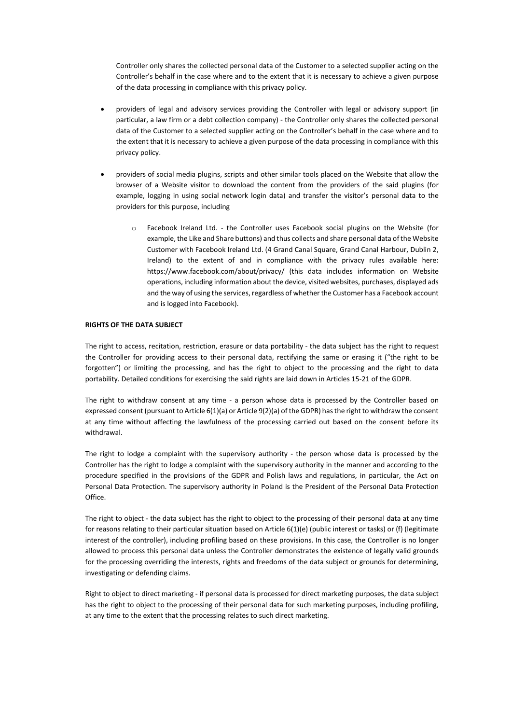Controller only shares the collected personal data of the Customer to a selected supplier acting on the Controller's behalf in the case where and to the extent that it is necessary to achieve a given purpose of the data processing in compliance with this privacy policy.

- providers of legal and advisory services providing the Controller with legal or advisory support (in particular, a law firm or a debt collection company) - the Controller only shares the collected personal data of the Customer to a selected supplier acting on the Controller's behalf in the case where and to the extent that it is necessary to achieve a given purpose of the data processing in compliance with this privacy policy.
- providers of social media plugins, scripts and other similar tools placed on the Website that allow the browser of a Website visitor to download the content from the providers of the said plugins (for example, logging in using social network login data) and transfer the visitor's personal data to the providers for this purpose, including
	- o Facebook Ireland Ltd. the Controller uses Facebook social plugins on the Website (for example, the Like and Share buttons) and thus collects and share personal data of the Website Customer with Facebook Ireland Ltd. (4 Grand Canal Square, Grand Canal Harbour, Dublin 2, Ireland) to the extent of and in compliance with the privacy rules available here: https://www.facebook.com/about/privacy/ (this data includes information on Website operations, including information about the device, visited websites, purchases, displayed ads and the way of using the services, regardless of whether the Customer has a Facebook account and is logged into Facebook).

### **RIGHTS OF THE DATA SUBJECT**

The right to access, recitation, restriction, erasure or data portability - the data subject has the right to request the Controller for providing access to their personal data, rectifying the same or erasing it ("the right to be forgotten") or limiting the processing, and has the right to object to the processing and the right to data portability. Detailed conditions for exercising the said rights are laid down in Articles 15-21 of the GDPR.

The right to withdraw consent at any time - a person whose data is processed by the Controller based on expressed consent (pursuant to Article 6(1)(a) or Article 9(2)(a) of the GDPR) has the right to withdraw the consent at any time without affecting the lawfulness of the processing carried out based on the consent before its withdrawal.

The right to lodge a complaint with the supervisory authority - the person whose data is processed by the Controller has the right to lodge a complaint with the supervisory authority in the manner and according to the procedure specified in the provisions of the GDPR and Polish laws and regulations, in particular, the Act on Personal Data Protection. The supervisory authority in Poland is the President of the Personal Data Protection Office.

The right to object - the data subject has the right to object to the processing of their personal data at any time for reasons relating to their particular situation based on Article 6(1)(e) (public interest or tasks) or (f) (legitimate interest of the controller), including profiling based on these provisions. In this case, the Controller is no longer allowed to process this personal data unless the Controller demonstrates the existence of legally valid grounds for the processing overriding the interests, rights and freedoms of the data subject or grounds for determining, investigating or defending claims.

Right to object to direct marketing - if personal data is processed for direct marketing purposes, the data subject has the right to object to the processing of their personal data for such marketing purposes, including profiling, at any time to the extent that the processing relates to such direct marketing.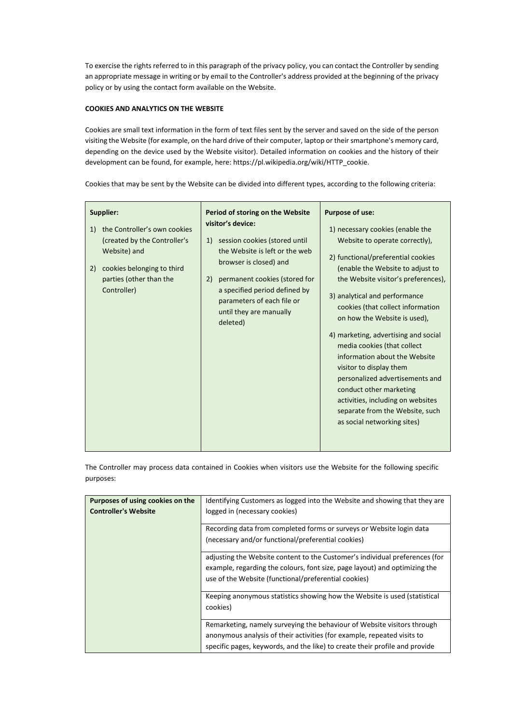To exercise the rights referred to in this paragraph of the privacy policy, you can contact the Controller by sending an appropriate message in writing or by email to the Controller's address provided at the beginning of the privacy policy or by using the contact form available on the Website.

## **COOKIES AND ANALYTICS ON THE WEBSITE**

Cookies are small text information in the form of text files sent by the server and saved on the side of the person visiting the Website (for example, on the hard drive of their computer, laptop or their smartphone's memory card, depending on the device used by the Website visitor). Detailed information on cookies and the history of their development can be found, for example, here: https://pl.wikipedia.org/wiki/HTTP\_cookie.

Cookies that may be sent by the Website can be divided into different types, according to the following criteria:

| Period of storing on the Website<br>visitor's device:                                                                                     | <b>Purpose of use:</b><br>1) necessary cookies (enable the                                                                                                                                                                                                                                                                                                                                                                                                                            |
|-------------------------------------------------------------------------------------------------------------------------------------------|---------------------------------------------------------------------------------------------------------------------------------------------------------------------------------------------------------------------------------------------------------------------------------------------------------------------------------------------------------------------------------------------------------------------------------------------------------------------------------------|
| session cookies (stored until<br>1)<br>the Website is left or the web<br>browser is closed) and                                           | Website to operate correctly),<br>2) functional/preferential cookies                                                                                                                                                                                                                                                                                                                                                                                                                  |
| permanent cookies (stored for<br>2)<br>a specified period defined by<br>parameters of each file or<br>until they are manually<br>deleted) | (enable the Website to adjust to<br>the Website visitor's preferences),<br>3) analytical and performance<br>cookies (that collect information<br>on how the Website is used),<br>4) marketing, advertising and social<br>media cookies (that collect<br>information about the Website<br>visitor to display them<br>personalized advertisements and<br>conduct other marketing<br>activities, including on websites<br>separate from the Website, such<br>as social networking sites) |
|                                                                                                                                           |                                                                                                                                                                                                                                                                                                                                                                                                                                                                                       |

The Controller may process data contained in Cookies when visitors use the Website for the following specific purposes:

| Purposes of using cookies on the | Identifying Customers as logged into the Website and showing that they are  |  |
|----------------------------------|-----------------------------------------------------------------------------|--|
| <b>Controller's Website</b>      | logged in (necessary cookies)                                               |  |
|                                  |                                                                             |  |
|                                  | Recording data from completed forms or surveys or Website login data        |  |
|                                  | (necessary and/or functional/preferential cookies)                          |  |
|                                  |                                                                             |  |
|                                  | adjusting the Website content to the Customer's individual preferences (for |  |
|                                  | example, regarding the colours, font size, page layout) and optimizing the  |  |
|                                  | use of the Website (functional/preferential cookies)                        |  |
|                                  |                                                                             |  |
|                                  | Keeping anonymous statistics showing how the Website is used (statistical   |  |
|                                  | cookies)                                                                    |  |
|                                  |                                                                             |  |
|                                  | Remarketing, namely surveying the behaviour of Website visitors through     |  |
|                                  | anonymous analysis of their activities (for example, repeated visits to     |  |
|                                  | specific pages, keywords, and the like) to create their profile and provide |  |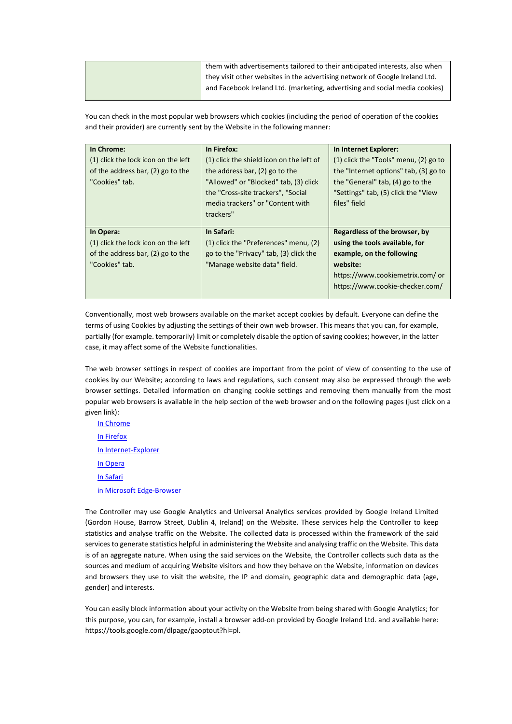| them with advertisements tailored to their anticipated interests, also when |
|-----------------------------------------------------------------------------|
| they visit other websites in the advertising network of Google Ireland Ltd. |
| and Facebook Ireland Ltd. (marketing, advertising and social media cookies) |
|                                                                             |

You can check in the most popular web browsers which cookies (including the period of operation of the cookies and their provider) are currently sent by the Website in the following manner:

| In Chrome:<br>(1) click the lock icon on the left<br>of the address bar, (2) go to the<br>"Cookies" tab. | In Firefox:<br>(1) click the shield icon on the left of<br>the address bar, (2) go to the<br>"Allowed" or "Blocked" tab, (3) click<br>the "Cross-site trackers", "Social<br>media trackers" or "Content with<br>trackers" | In Internet Explorer:<br>(1) click the "Tools" menu, (2) go to<br>the "Internet options" tab, (3) go to<br>the "General" tab, (4) go to the<br>"Settings" tab, (5) click the "View<br>files" field |
|----------------------------------------------------------------------------------------------------------|---------------------------------------------------------------------------------------------------------------------------------------------------------------------------------------------------------------------------|----------------------------------------------------------------------------------------------------------------------------------------------------------------------------------------------------|
| In Opera:<br>(1) click the lock icon on the left<br>of the address bar, (2) go to the<br>"Cookies" tab.  | In Safari:<br>(1) click the "Preferences" menu, (2)<br>go to the "Privacy" tab, (3) click the<br>"Manage website data" field.                                                                                             | Regardless of the browser, by<br>using the tools available, for<br>example, on the following<br>website:<br>https://www.cookiemetrix.com/ or<br>https://www.cookie-checker.com/                    |

Conventionally, most web browsers available on the market accept cookies by default. Everyone can define the terms of using Cookies by adjusting the settings of their own web browser. This means that you can, for example, partially (for example. temporarily) limit or completely disable the option of saving cookies; however, in the latter case, it may affect some of the Website functionalities.

The web browser settings in respect of cookies are important from the point of view of consenting to the use of cookies by our Website; according to laws and regulations, such consent may also be expressed through the web browser settings. Detailed information on changing cookie settings and removing them manually from the most popular web browsers is available in the help section of the web browser and on the following pages (just click on a given link):

[In Chrome](https://support.google.com/chrome/answer/95647?hl=pl) [In Firefox](https://support.mozilla.org/pl/kb/wlaczanie-i-wylaczanie-ciasteczek-sledzacych?redirectlocale=pl&redirectslug=W%C5%82%C4%85czanie+i+wy%C5%82%C4%85czanie+obs%C5%82ugi+ciasteczek) [In Internet-](https://support.microsoft.com/pl-pl/help/17442/windows-internet-explorer-delete-manage-cookies)Explorer [In Opera](https://help.opera.com/pl/latest/web-preferences/#cookies) [In Safari](https://support.apple.com/pl-pl/guide/safari/sfri11471/11.0/mac/10.13) [in Microsoft Edge](https://support.microsoft.com/pl-pl/help/4468242/microsoft-edge-browsing-data-and-privacy-microsoft-privacy)-Browser

The Controller may use Google Analytics and Universal Analytics services provided by Google Ireland Limited (Gordon House, Barrow Street, Dublin 4, Ireland) on the Website. These services help the Controller to keep statistics and analyse traffic on the Website. The collected data is processed within the framework of the said services to generate statistics helpful in administering the Website and analysing traffic on the Website. This data is of an aggregate nature. When using the said services on the Website, the Controller collects such data as the sources and medium of acquiring Website visitors and how they behave on the Website, information on devices and browsers they use to visit the website, the IP and domain, geographic data and demographic data (age, gender) and interests.

You can easily block information about your activity on the Website from being shared with Google Analytics; for this purpose, you can, for example, install a browser add-on provided by Google Ireland Ltd. and available here: https://tools.google.com/dlpage/gaoptout?hl=pl.